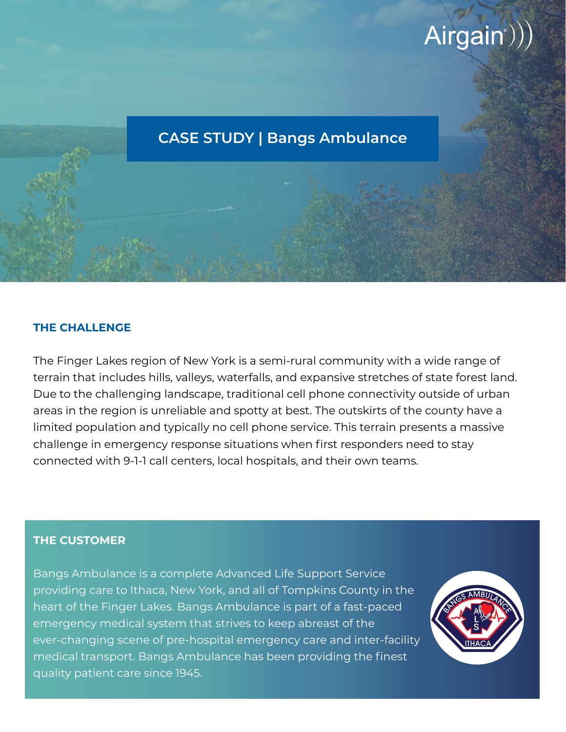# Airgain<sup>()</sup>)

# **CASE STUDY | Bangs Ambulance**

#### **THE CHALLENGE**

The Finger Lakes region of New York is a semi-rural community with a wide range of terrain that includes hills, valleys, waterfalls, and expansive stretches of state forest land. Due to the challenging landscape, traditional cell phone connectivity outside of urban areas in the region is unreliable and spotty at best. The outskirts of the county have a limited population and typically no cell phone service. This terrain presents a massive challenge in emergency response situations when first responders need to stay connected with 9-1-1 call centers, local hospitals, and their own teams.

#### **THE CUSTOMER**

Bangs Ambulance is a complete Advanced Life Support Service providing care to Ithaca, New York, and all of Tompkins County in the heart of the Finger Lakes. Bangs Ambulance is part of a fast-paced emergency medical system that strives to keep abreast of the ever-changing scene of pre-hospital emergency care and inter-facility medical transport. Bangs Ambulance has been providing the finest quality patient care since 1945.